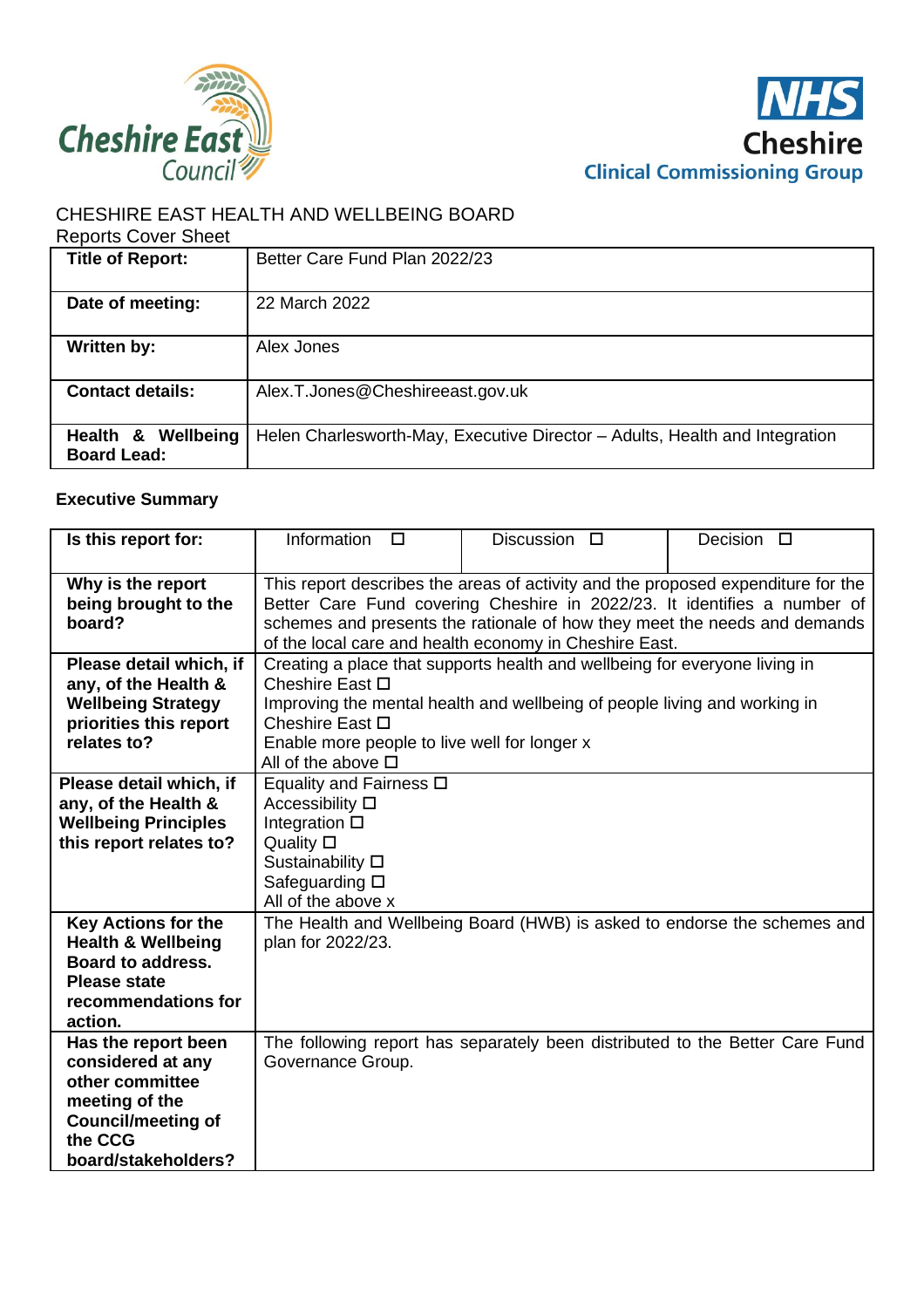



# CHESHIRE EAST HEALTH AND WELLBEING BOARD

#### Reports Cover Sheet

| <b>Title of Report:</b> | Better Care Fund Plan 2022/23                                               |
|-------------------------|-----------------------------------------------------------------------------|
|                         |                                                                             |
| Date of meeting:        | 22 March 2022                                                               |
|                         |                                                                             |
| Written by:             | Alex Jones                                                                  |
|                         |                                                                             |
| <b>Contact details:</b> | Alex.T.Jones@Cheshireeast.gov.uk                                            |
|                         |                                                                             |
| Health & Wellbeing      | Helen Charlesworth-May, Executive Director - Adults, Health and Integration |
| <b>Board Lead:</b>      |                                                                             |

# **Executive Summary**

| Is this report for:           | Information<br>$\Box$                        | Discussion $\square$                                                             | Decision $\square$ |  |  |  |  |
|-------------------------------|----------------------------------------------|----------------------------------------------------------------------------------|--------------------|--|--|--|--|
|                               |                                              |                                                                                  |                    |  |  |  |  |
| Why is the report             |                                              | This report describes the areas of activity and the proposed expenditure for the |                    |  |  |  |  |
| being brought to the          |                                              | Better Care Fund covering Cheshire in 2022/23. It identifies a number of         |                    |  |  |  |  |
| board?                        |                                              | schemes and presents the rationale of how they meet the needs and demands        |                    |  |  |  |  |
|                               |                                              | of the local care and health economy in Cheshire East.                           |                    |  |  |  |  |
| Please detail which, if       |                                              | Creating a place that supports health and wellbeing for everyone living in       |                    |  |  |  |  |
| any, of the Health &          | Cheshire East □                              |                                                                                  |                    |  |  |  |  |
| <b>Wellbeing Strategy</b>     |                                              | Improving the mental health and wellbeing of people living and working in        |                    |  |  |  |  |
| priorities this report        | Cheshire East □                              |                                                                                  |                    |  |  |  |  |
| relates to?                   | Enable more people to live well for longer x |                                                                                  |                    |  |  |  |  |
|                               | All of the above $\square$                   |                                                                                  |                    |  |  |  |  |
| Please detail which, if       | Equality and Fairness □                      |                                                                                  |                    |  |  |  |  |
| any, of the Health &          | Accessibility $\square$                      |                                                                                  |                    |  |  |  |  |
| <b>Wellbeing Principles</b>   | Integration $\square$                        |                                                                                  |                    |  |  |  |  |
| this report relates to?       | Quality $\square$                            |                                                                                  |                    |  |  |  |  |
|                               | Sustainability D                             |                                                                                  |                    |  |  |  |  |
|                               | Safeguarding □                               |                                                                                  |                    |  |  |  |  |
|                               | All of the above x                           |                                                                                  |                    |  |  |  |  |
| <b>Key Actions for the</b>    |                                              | The Health and Wellbeing Board (HWB) is asked to endorse the schemes and         |                    |  |  |  |  |
| <b>Health &amp; Wellbeing</b> | plan for 2022/23.                            |                                                                                  |                    |  |  |  |  |
| <b>Board to address.</b>      |                                              |                                                                                  |                    |  |  |  |  |
| <b>Please state</b>           |                                              |                                                                                  |                    |  |  |  |  |
| recommendations for           |                                              |                                                                                  |                    |  |  |  |  |
| action.                       |                                              |                                                                                  |                    |  |  |  |  |
| Has the report been           |                                              | The following report has separately been distributed to the Better Care Fund     |                    |  |  |  |  |
| considered at any             | Governance Group.                            |                                                                                  |                    |  |  |  |  |
| other committee               |                                              |                                                                                  |                    |  |  |  |  |
| meeting of the                |                                              |                                                                                  |                    |  |  |  |  |
| <b>Council/meeting of</b>     |                                              |                                                                                  |                    |  |  |  |  |
| the CCG                       |                                              |                                                                                  |                    |  |  |  |  |
| board/stakeholders?           |                                              |                                                                                  |                    |  |  |  |  |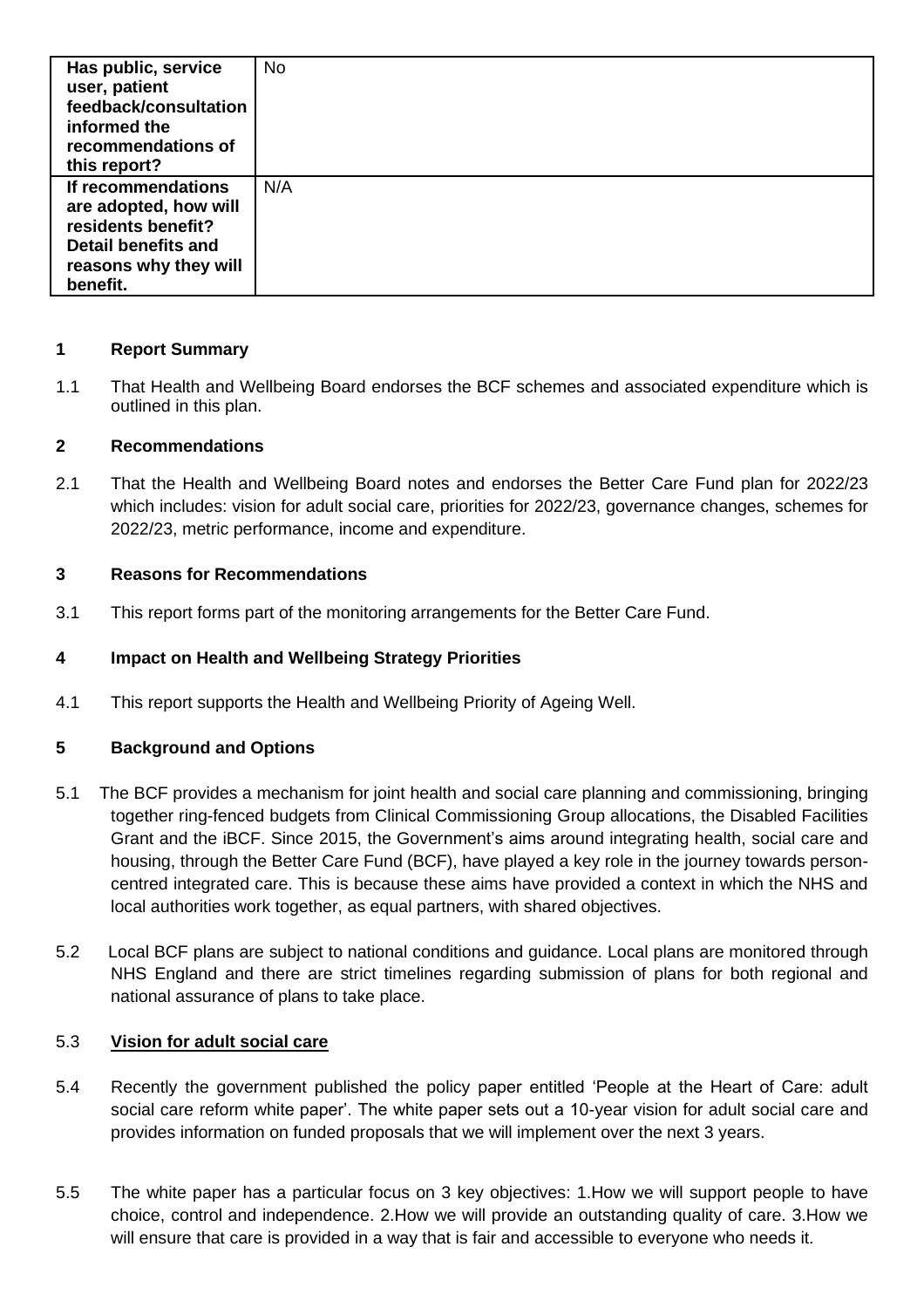| Has public, service<br>user, patient<br>feedback/consultation<br>informed the<br>recommendations of<br>this report?                  | No  |
|--------------------------------------------------------------------------------------------------------------------------------------|-----|
| If recommendations<br>are adopted, how will<br>residents benefit?<br><b>Detail benefits and</b><br>reasons why they will<br>benefit. | N/A |

# **1 Report Summary**

1.1 That Health and Wellbeing Board endorses the BCF schemes and associated expenditure which is outlined in this plan.

# **2 Recommendations**

2.1 That the Health and Wellbeing Board notes and endorses the Better Care Fund plan for 2022/23 which includes: vision for adult social care, priorities for 2022/23, governance changes, schemes for 2022/23, metric performance, income and expenditure.

# **3 Reasons for Recommendations**

3.1 This report forms part of the monitoring arrangements for the Better Care Fund.

# **4 Impact on Health and Wellbeing Strategy Priorities**

4.1 This report supports the Health and Wellbeing Priority of Ageing Well.

### **5 Background and Options**

- 5.1 The BCF provides a mechanism for joint health and social care planning and commissioning, bringing together ring-fenced budgets from Clinical Commissioning Group allocations, the Disabled Facilities Grant and the iBCF. Since 2015, the Government's aims around integrating health, social care and housing, through the Better Care Fund (BCF), have played a key role in the journey towards personcentred integrated care. This is because these aims have provided a context in which the NHS and local authorities work together, as equal partners, with shared objectives.
- 5.2 Local BCF plans are subject to national conditions and guidance. Local plans are monitored through NHS England and there are strict timelines regarding submission of plans for both regional and national assurance of plans to take place.

### 5.3 **Vision for adult social care**

- 5.4 Recently the government published the policy paper entitled 'People at the Heart of Care: adult social care reform white paper'. The white paper sets out a 10-year vision for adult social care and provides information on funded proposals that we will implement over the next 3 years.
- 5.5 The white paper has a particular focus on 3 key objectives: 1.How we will support people to have choice, control and independence. 2.How we will provide an outstanding quality of care. 3.How we will ensure that care is provided in a way that is fair and accessible to everyone who needs it.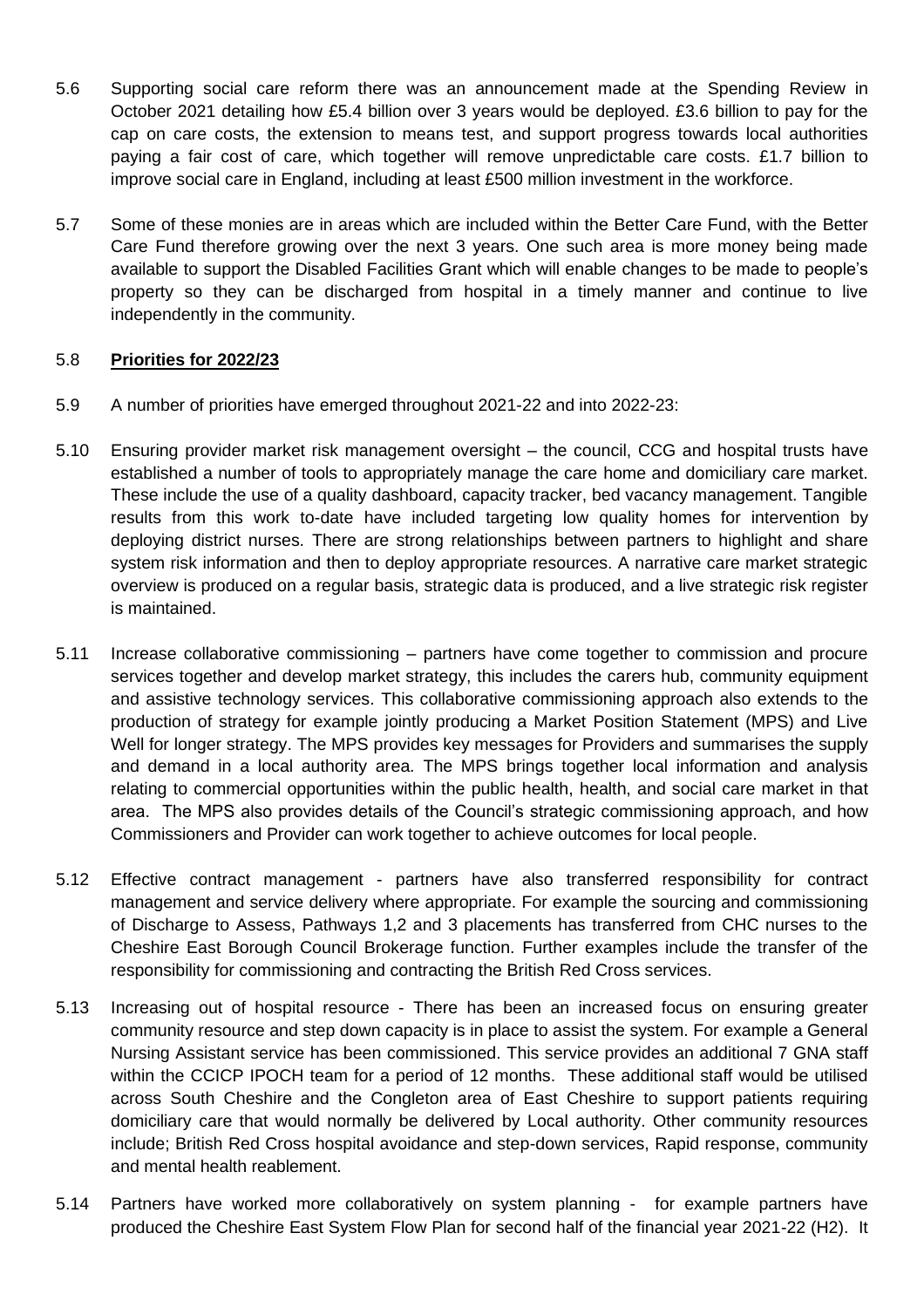- 5.6 Supporting social care reform there was an announcement made at the Spending Review in October 2021 detailing how £5.4 billion over 3 years would be deployed. £3.6 billion to pay for the cap on care costs, the extension to means test, and support progress towards local authorities paying a fair cost of care, which together will remove unpredictable care costs. £1.7 billion to improve social care in England, including at least £500 million investment in the workforce.
- 5.7 Some of these monies are in areas which are included within the Better Care Fund, with the Better Care Fund therefore growing over the next 3 years. One such area is more money being made available to support the Disabled Facilities Grant which will enable changes to be made to people's property so they can be discharged from hospital in a timely manner and continue to live independently in the community.

# 5.8 **Priorities for 2022/23**

- 5.9 A number of priorities have emerged throughout 2021-22 and into 2022-23:
- 5.10 Ensuring provider market risk management oversight the council, CCG and hospital trusts have established a number of tools to appropriately manage the care home and domiciliary care market. These include the use of a quality dashboard, capacity tracker, bed vacancy management. Tangible results from this work to-date have included targeting low quality homes for intervention by deploying district nurses. There are strong relationships between partners to highlight and share system risk information and then to deploy appropriate resources. A narrative care market strategic overview is produced on a regular basis, strategic data is produced, and a live strategic risk register is maintained.
- 5.11 Increase collaborative commissioning partners have come together to commission and procure services together and develop market strategy, this includes the carers hub, community equipment and assistive technology services. This collaborative commissioning approach also extends to the production of strategy for example jointly producing a Market Position Statement (MPS) and Live Well for longer strategy. The MPS provides key messages for Providers and summarises the supply and demand in a local authority area. The MPS brings together local information and analysis relating to commercial opportunities within the public health, health, and social care market in that area. The MPS also provides details of the Council's strategic commissioning approach, and how Commissioners and Provider can work together to achieve outcomes for local people.
- 5.12 Effective contract management partners have also transferred responsibility for contract management and service delivery where appropriate. For example the sourcing and commissioning of Discharge to Assess, Pathways 1,2 and 3 placements has transferred from CHC nurses to the Cheshire East Borough Council Brokerage function. Further examples include the transfer of the responsibility for commissioning and contracting the British Red Cross services.
- 5.13 Increasing out of hospital resource There has been an increased focus on ensuring greater community resource and step down capacity is in place to assist the system. For example a General Nursing Assistant service has been commissioned. This service provides an additional 7 GNA staff within the CCICP IPOCH team for a period of 12 months. These additional staff would be utilised across South Cheshire and the Congleton area of East Cheshire to support patients requiring domiciliary care that would normally be delivered by Local authority. Other community resources include; British Red Cross hospital avoidance and step-down services, Rapid response, community and mental health reablement.
- 5.14 Partners have worked more collaboratively on system planning for example partners have produced the Cheshire East System Flow Plan for second half of the financial year 2021-22 (H2). It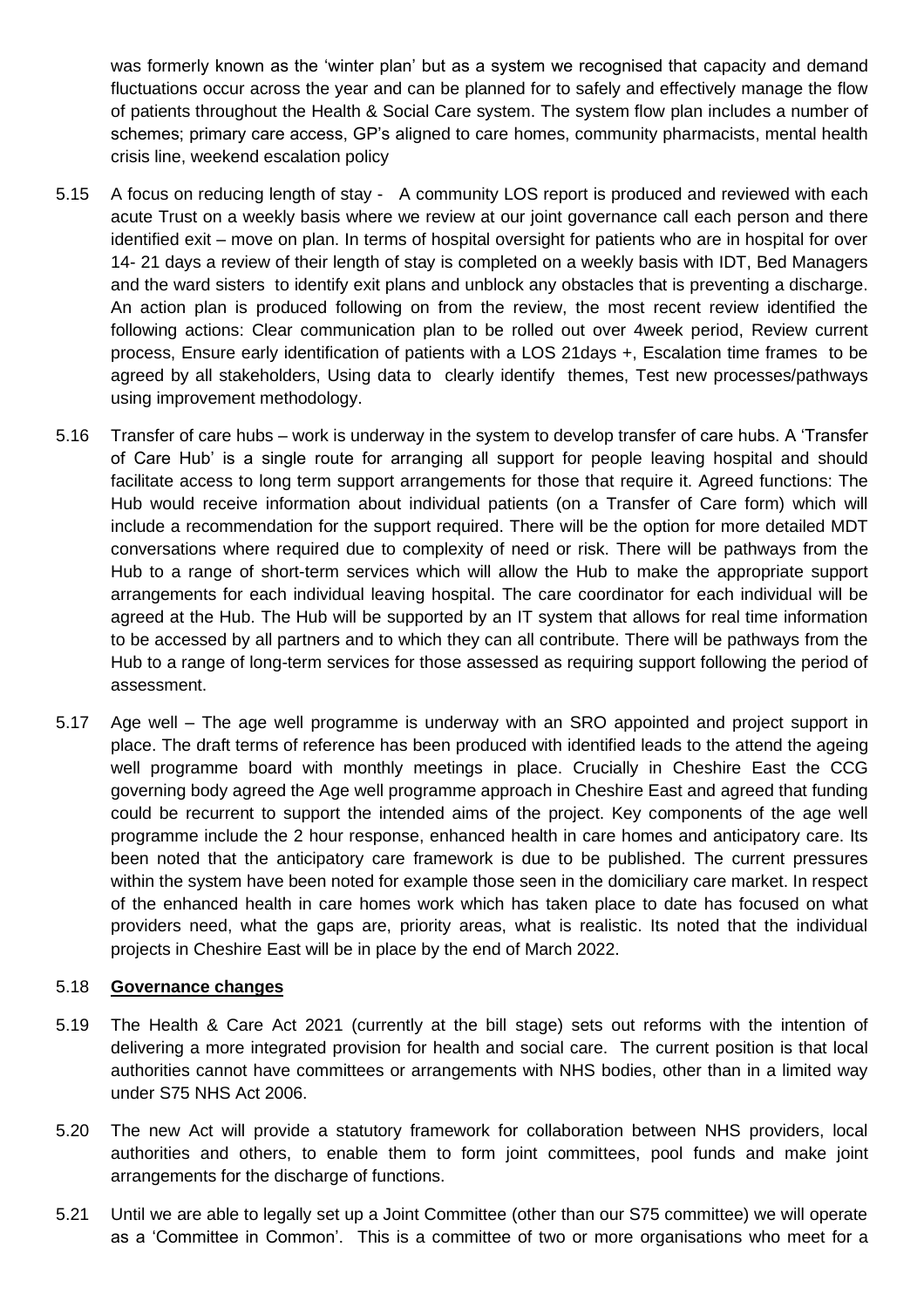was formerly known as the 'winter plan' but as a system we recognised that capacity and demand fluctuations occur across the year and can be planned for to safely and effectively manage the flow of patients throughout the Health & Social Care system. The system flow plan includes a number of schemes; primary care access, GP's aligned to care homes, community pharmacists, mental health crisis line, weekend escalation policy

- 5.15 A focus on reducing length of stay A community LOS report is produced and reviewed with each acute Trust on a weekly basis where we review at our joint governance call each person and there identified exit – move on plan. In terms of hospital oversight for patients who are in hospital for over 14- 21 days a review of their length of stay is completed on a weekly basis with IDT, Bed Managers and the ward sisters to identify exit plans and unblock any obstacles that is preventing a discharge. An action plan is produced following on from the review, the most recent review identified the following actions: Clear communication plan to be rolled out over 4week period, Review current process, Ensure early identification of patients with a LOS 21days +, Escalation time frames to be agreed by all stakeholders, Using data to clearly identify themes, Test new processes/pathways using improvement methodology.
- 5.16 Transfer of care hubs work is underway in the system to develop transfer of care hubs. A 'Transfer of Care Hub' is a single route for arranging all support for people leaving hospital and should facilitate access to long term support arrangements for those that require it. Agreed functions: The Hub would receive information about individual patients (on a Transfer of Care form) which will include a recommendation for the support required. There will be the option for more detailed MDT conversations where required due to complexity of need or risk. There will be pathways from the Hub to a range of short-term services which will allow the Hub to make the appropriate support arrangements for each individual leaving hospital. The care coordinator for each individual will be agreed at the Hub. The Hub will be supported by an IT system that allows for real time information to be accessed by all partners and to which they can all contribute. There will be pathways from the Hub to a range of long-term services for those assessed as requiring support following the period of assessment.
- 5.17 Age well The age well programme is underway with an SRO appointed and project support in place. The draft terms of reference has been produced with identified leads to the attend the ageing well programme board with monthly meetings in place. Crucially in Cheshire East the CCG governing body agreed the Age well programme approach in Cheshire East and agreed that funding could be recurrent to support the intended aims of the project. Key components of the age well programme include the 2 hour response, enhanced health in care homes and anticipatory care. Its been noted that the anticipatory care framework is due to be published. The current pressures within the system have been noted for example those seen in the domiciliary care market. In respect of the enhanced health in care homes work which has taken place to date has focused on what providers need, what the gaps are, priority areas, what is realistic. Its noted that the individual projects in Cheshire East will be in place by the end of March 2022.

### 5.18 **Governance changes**

- 5.19 The Health & Care Act 2021 (currently at the bill stage) sets out reforms with the intention of delivering a more integrated provision for health and social care. The current position is that local authorities cannot have committees or arrangements with NHS bodies, other than in a limited way under S75 NHS Act 2006.
- 5.20 The new Act will provide a statutory framework for collaboration between NHS providers, local authorities and others, to enable them to form joint committees, pool funds and make joint arrangements for the discharge of functions.
- 5.21 Until we are able to legally set up a Joint Committee (other than our S75 committee) we will operate as a 'Committee in Common'. This is a committee of two or more organisations who meet for a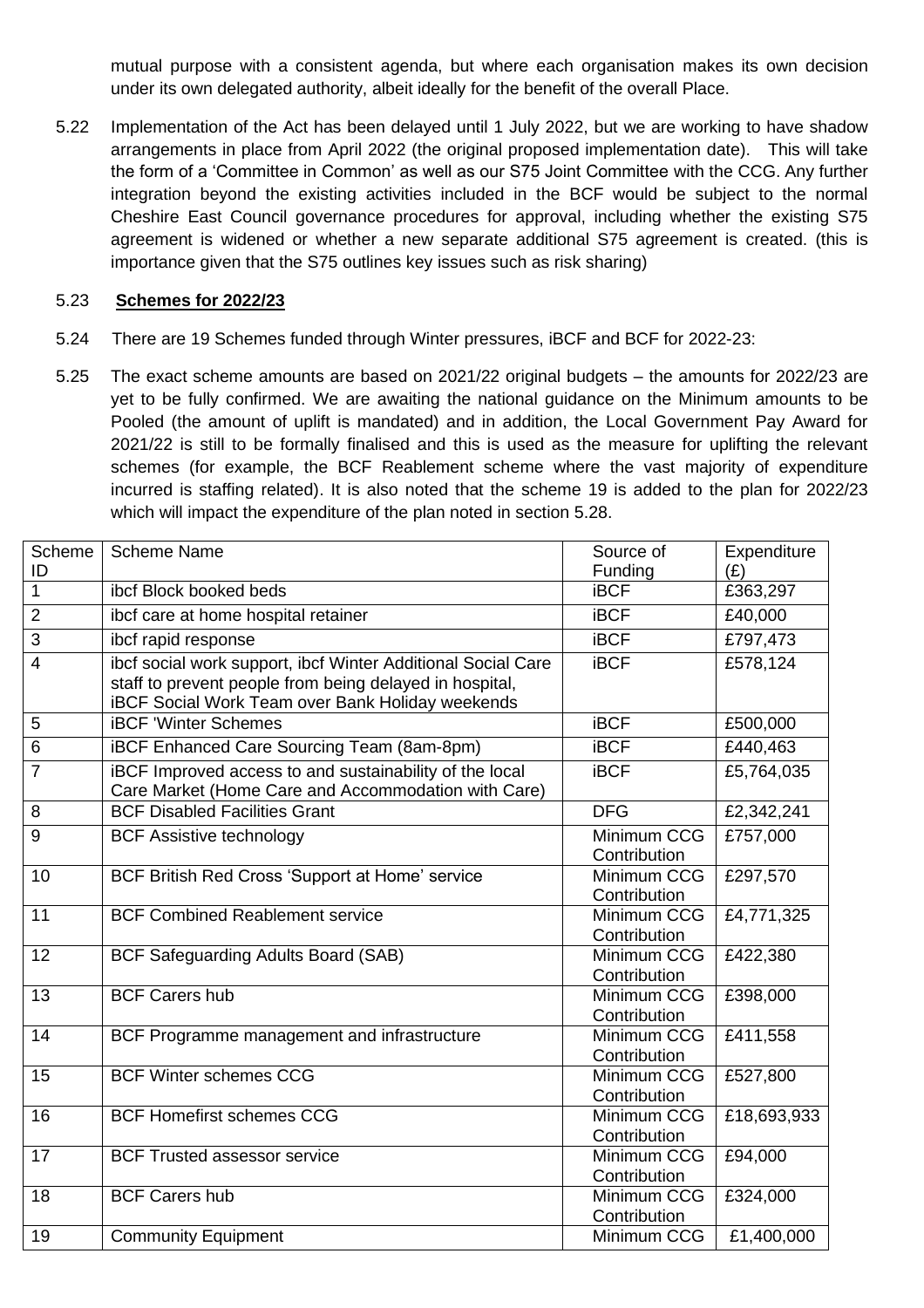mutual purpose with a consistent agenda, but where each organisation makes its own decision under its own delegated authority, albeit ideally for the benefit of the overall Place.

5.22 Implementation of the Act has been delayed until 1 July 2022, but we are working to have shadow arrangements in place from April 2022 (the original proposed implementation date). This will take the form of a 'Committee in Common' as well as our S75 Joint Committee with the CCG. Any further integration beyond the existing activities included in the BCF would be subject to the normal Cheshire East Council governance procedures for approval, including whether the existing S75 agreement is widened or whether a new separate additional S75 agreement is created. (this is importance given that the S75 outlines key issues such as risk sharing)

### 5.23 **Schemes for 2022/23**

- 5.24 There are 19 Schemes funded through Winter pressures, iBCF and BCF for 2022-23:
- 5.25 The exact scheme amounts are based on 2021/22 original budgets the amounts for 2022/23 are yet to be fully confirmed. We are awaiting the national guidance on the Minimum amounts to be Pooled (the amount of uplift is mandated) and in addition, the Local Government Pay Award for 2021/22 is still to be formally finalised and this is used as the measure for uplifting the relevant schemes (for example, the BCF Reablement scheme where the vast majority of expenditure incurred is staffing related). It is also noted that the scheme 19 is added to the plan for 2022/23 which will impact the expenditure of the plan noted in section 5.28.

| Scheme<br>ID    | <b>Scheme Name</b>                                                                                                                                                                 | Source of<br>Funding        | Expenditure<br>(E) |
|-----------------|------------------------------------------------------------------------------------------------------------------------------------------------------------------------------------|-----------------------------|--------------------|
| $\mathbf{1}$    | ibcf Block booked beds                                                                                                                                                             | <b>iBCF</b>                 | £363,297           |
| $\overline{2}$  | ibcf care at home hospital retainer                                                                                                                                                | <b>iBCF</b>                 | £40,000            |
| 3               | ibcf rapid response                                                                                                                                                                | <b>iBCF</b>                 | £797,473           |
| $\overline{4}$  | ibcf social work support, ibcf Winter Additional Social Care<br>staff to prevent people from being delayed in hospital,<br><b>iBCF Social Work Team over Bank Holiday weekends</b> | <b>iBCF</b>                 | £578,124           |
| 5               | <b>IBCF</b> 'Winter Schemes                                                                                                                                                        | <b>iBCF</b>                 | £500,000           |
| $6\phantom{1}6$ | iBCF Enhanced Care Sourcing Team (8am-8pm)                                                                                                                                         | <b>iBCF</b>                 | £440,463           |
| $\overline{7}$  | iBCF Improved access to and sustainability of the local<br>Care Market (Home Care and Accommodation with Care)                                                                     | <b>iBCF</b>                 | £5,764,035         |
| 8               | <b>BCF Disabled Facilities Grant</b>                                                                                                                                               | <b>DFG</b>                  | £2,342,241         |
| 9               | <b>BCF Assistive technology</b>                                                                                                                                                    | Minimum CCG<br>Contribution | £757,000           |
| 10              | BCF British Red Cross 'Support at Home' service                                                                                                                                    | Minimum CCG<br>Contribution | £297,570           |
| 11              | <b>BCF Combined Reablement service</b>                                                                                                                                             | Minimum CCG<br>Contribution | £4,771,325         |
| 12              | <b>BCF Safeguarding Adults Board (SAB)</b>                                                                                                                                         | Minimum CCG<br>Contribution | £422,380           |
| 13              | <b>BCF Carers hub</b>                                                                                                                                                              | Minimum CCG<br>Contribution | £398,000           |
| 14              | BCF Programme management and infrastructure                                                                                                                                        | Minimum CCG<br>Contribution | £411,558           |
| 15              | <b>BCF Winter schemes CCG</b>                                                                                                                                                      | Minimum CCG<br>Contribution | £527,800           |
| 16              | <b>BCF Homefirst schemes CCG</b>                                                                                                                                                   | Minimum CCG<br>Contribution | £18,693,933        |
| 17              | <b>BCF Trusted assessor service</b>                                                                                                                                                | Minimum CCG<br>Contribution | £94,000            |
| 18              | <b>BCF Carers hub</b>                                                                                                                                                              | Minimum CCG<br>Contribution | £324,000           |
| 19              | <b>Community Equipment</b>                                                                                                                                                         | Minimum CCG                 | £1,400,000         |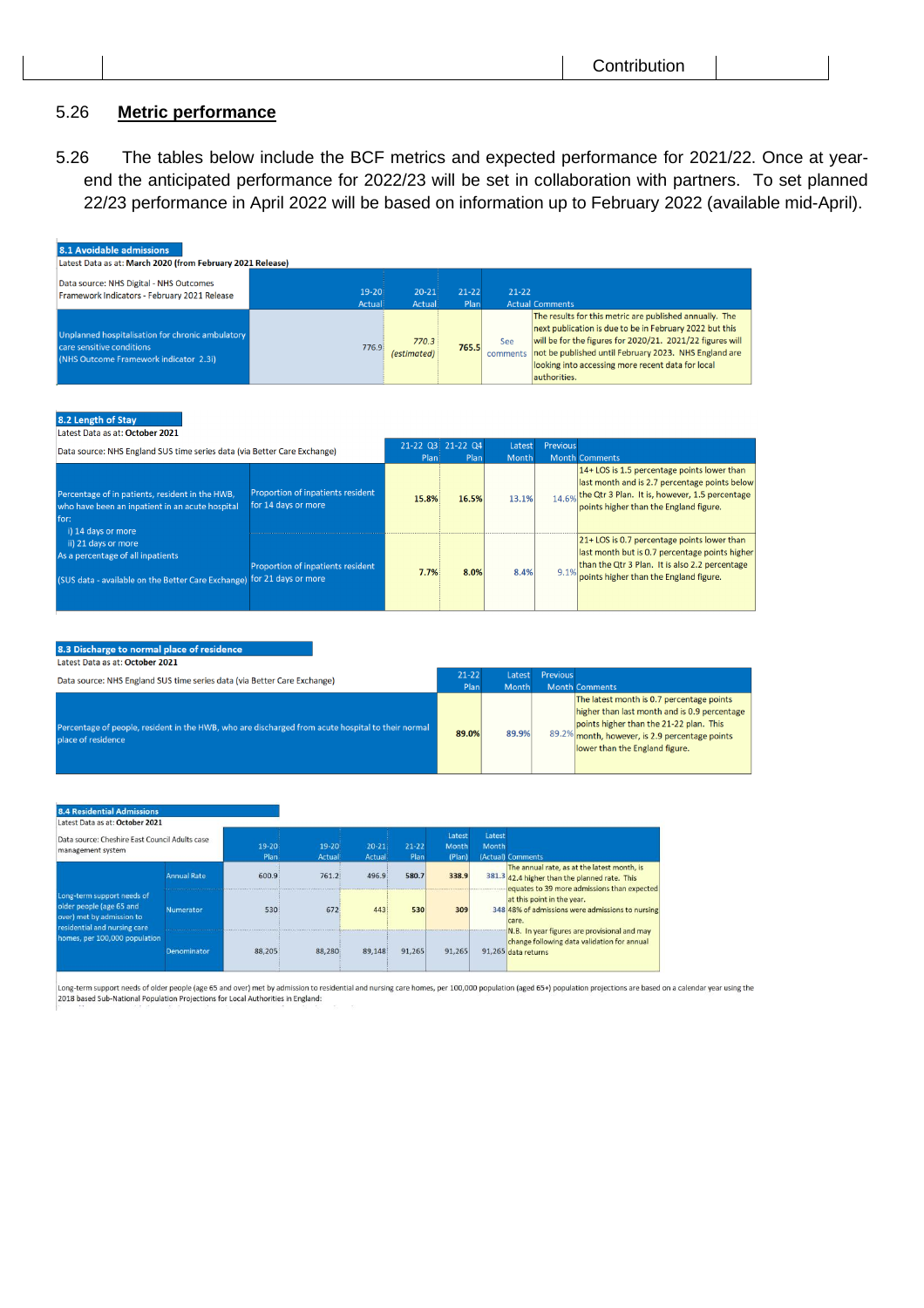# 5.26 **Metric performance**

5.26 The tables below include the BCF metrics and expected performance for 2021/22. Once at yearend the anticipated performance for 2022/23 will be set in collaboration with partners. To set planned 22/23 performance in April 2022 will be based on information up to February 2022 (available mid-April).

| 8.1 Avoidable admissions<br>Latest Data as at: March 2020 (from February 2021 Release)                                               |                                                          |                      |                   |                 |                        |                                                                                                                                                                                                                                                                                               |
|--------------------------------------------------------------------------------------------------------------------------------------|----------------------------------------------------------|----------------------|-------------------|-----------------|------------------------|-----------------------------------------------------------------------------------------------------------------------------------------------------------------------------------------------------------------------------------------------------------------------------------------------|
| Data source: NHS Digital - NHS Outcomes<br>Framework Indicators - February 2021 Release                                              | $19 - 20$<br>Actual                                      | $20 - 21$<br>Actual  | $21 - 22$<br>Plan | $21 - 22$       | <b>Actual Comments</b> |                                                                                                                                                                                                                                                                                               |
| Unplanned hospitalisation for chronic ambulatory<br>care sensitive conditions<br>(NHS Outcome Framework indicator 2.3i)              | 776.9                                                    | 770.3<br>(estimated) | 765.5             | See<br>comments | authorities.           | The results for this metric are published annually. The<br>next publication is due to be in February 2022 but this<br>will be for the figures for 2020/21. 2021/22 figures will<br>not be published until February 2023. NHS England are<br>looking into accessing more recent data for local |
| 8.2 Length of Stay<br>Latest Data as at: October 2021<br>Data source: NHS England SUS time series data (via Better Care Exchange)    |                                                          |                      | 21-22 03 21-22 04 | Latest          | Previous               |                                                                                                                                                                                                                                                                                               |
| Percentage of in patients, resident in the HWB,<br>who have been an inpatient in an acute hospital<br>for:                           | Proportion of inpatients resident<br>for 14 days or more | Plan<br>15.8%        | Plan<br>16.5%     | Month<br>13.1%  |                        | <b>Month Comments</b><br>14+ LOS is 1.5 percentage points lower than<br>last month and is 2.7 percentage points below<br>14.6% the Qtr 3 Plan. It is, however, 1.5 percentage<br>points higher than the England figure.                                                                       |
| i) 14 days or more<br>ii) 21 days or more<br>As a percentage of all inpatients<br>(SUS data - available on the Better Care Exchange) | Proportion of inpatients resident<br>for 21 days or more | 7.7%                 | 8.0%              | 8.4%            | 9.1%                   | 21+ LOS is 0.7 percentage points lower than<br>last month but is 0.7 percentage points higher<br>than the Qtr 3 Plan. It is also 2.2 percentage<br>points higher than the England figure.                                                                                                     |

#### 8.3 Discharge to normal place of residence

Latest Data as at: October 2021

| Data source: NHS England SUS time series data (via Better Care Exchange)                                                | $21 - 22$<br>Plan | Latest<br><b>Month</b> | <b>Previous</b> | <b>Month Comments</b>                                                                                                                                                                                                    |
|-------------------------------------------------------------------------------------------------------------------------|-------------------|------------------------|-----------------|--------------------------------------------------------------------------------------------------------------------------------------------------------------------------------------------------------------------------|
| Percentage of people, resident in the HWB, who are discharged from acute hospital to their normal<br>place of residence | 89.0%             | 89.9%                  |                 | The latest month is 0.7 percentage points<br>higher than last month and is 0.9 percentage<br>points higher than the 21-22 plan. This<br>89.2% month, however, is 2.9 percentage points<br>lower than the England figure. |

#### 3.4 Residential Admissic

| Latest Data as at, Ottober 2021<br>Data source: Cheshire East Council Adults case<br>management system                                               |                    | $19 - 20$<br>Plan | $19 - 20$<br>Actual | $20 - 21$<br>Actual | $21 - 22$<br>Plan | Latest<br>Month<br>(Plan) | Latest<br>Month | (Actual) Comments                                                                                                                           |
|------------------------------------------------------------------------------------------------------------------------------------------------------|--------------------|-------------------|---------------------|---------------------|-------------------|---------------------------|-----------------|---------------------------------------------------------------------------------------------------------------------------------------------|
|                                                                                                                                                      | <b>Annual Rate</b> | 600.9             | 761.2               | 496.9               | 580.7             | 338.9                     |                 | The annual rate, as at the latest month, is<br>381.3 42.4 higher than the planned rate. This<br>equates to 39 more admissions than expected |
| Long-term support needs of<br>older people (age 65 and<br>over) met by admission to<br>residential and nursing care<br>homes, per 100,000 population | Numerator          | 530               | 672                 | 443                 | 530               | 309                       |                 | at this point in the year.<br>348 48% of admissions were admissions to nursing<br>care.                                                     |
|                                                                                                                                                      | Denominator        | 88.205            | 88,280              | 89,148              | 91.265            | 91,265                    |                 | N.B. In year figures are provisional and may<br>change following data validation for annual<br>91,265 data returns                          |

Long-term support needs of older people (age 65 and over) met by admission to residential and nursing care homes, per 100,000 population (aged 65+) population projections are based on a calendar year using the 2018 based S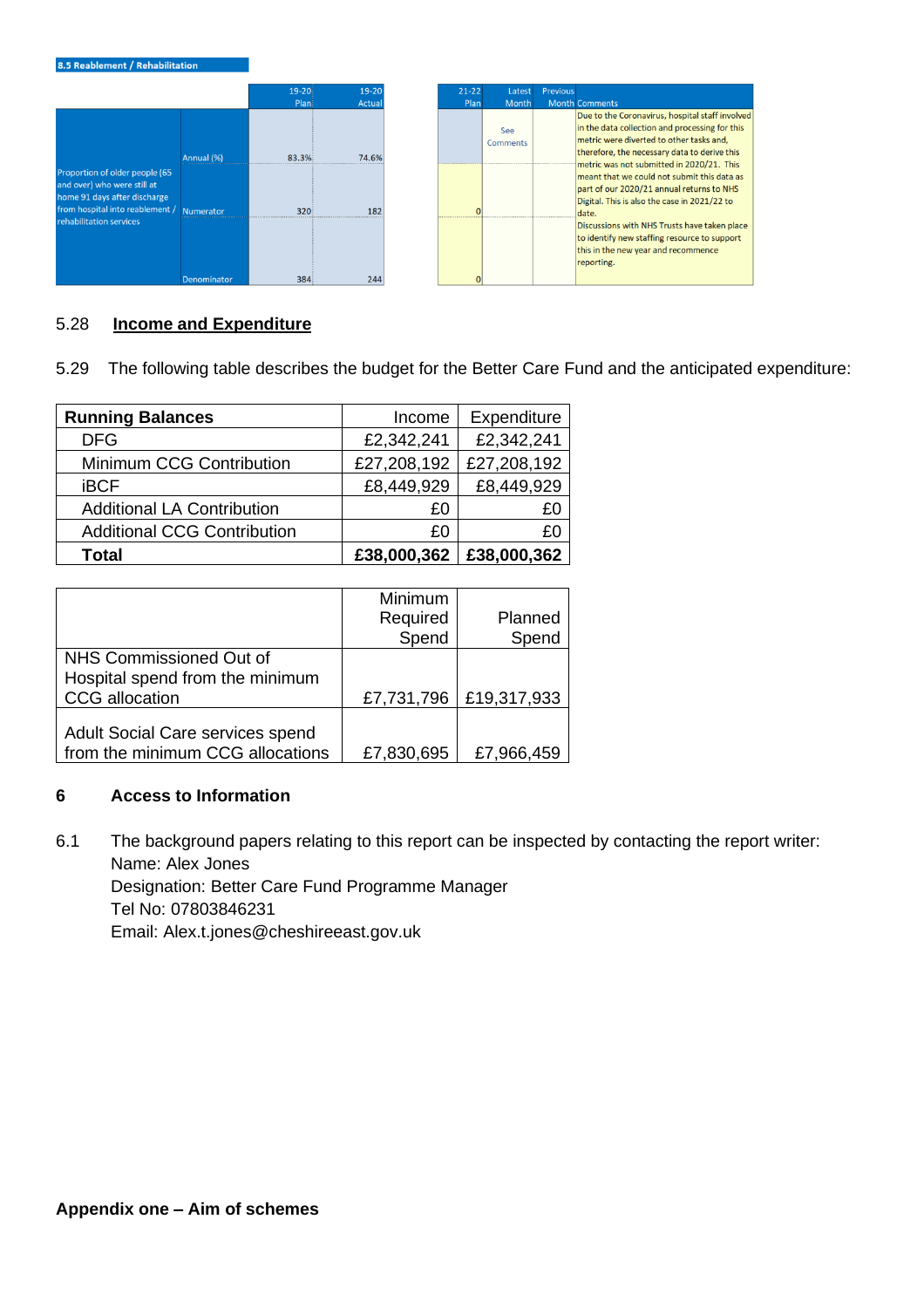

### 5.28 **Income and Expenditure**

5.29 The following table describes the budget for the Better Care Fund and the anticipated expenditure:

| <b>Running Balances</b>            | Income      | Expenditure |
|------------------------------------|-------------|-------------|
| <b>DFG</b>                         | £2,342,241  | £2,342,241  |
| Minimum CCG Contribution           | £27,208,192 | £27,208,192 |
| <b>iBCF</b>                        | £8,449,929  | £8,449,929  |
| <b>Additional LA Contribution</b>  | £0          | £Ο          |
| <b>Additional CCG Contribution</b> | £0          | £0          |
| <b>Total</b>                       | £38,000,362 | £38,000,362 |

|                                  | Minimum    |             |
|----------------------------------|------------|-------------|
|                                  | Required   | Planned     |
|                                  | Spend      | Spend       |
| NHS Commissioned Out of          |            |             |
| Hospital spend from the minimum  |            |             |
| CCG allocation                   | £7,731,796 | £19,317,933 |
|                                  |            |             |
| Adult Social Care services spend |            |             |
| from the minimum CCG allocations | £7,830,695 | £7,966,459  |

### **6 Access to Information**

6.1 The background papers relating to this report can be inspected by contacting the report writer: Name: Alex Jones Designation: Better Care Fund Programme Manager Tel No: 07803846231 Email: Alex.t.jones@cheshireeast.gov.uk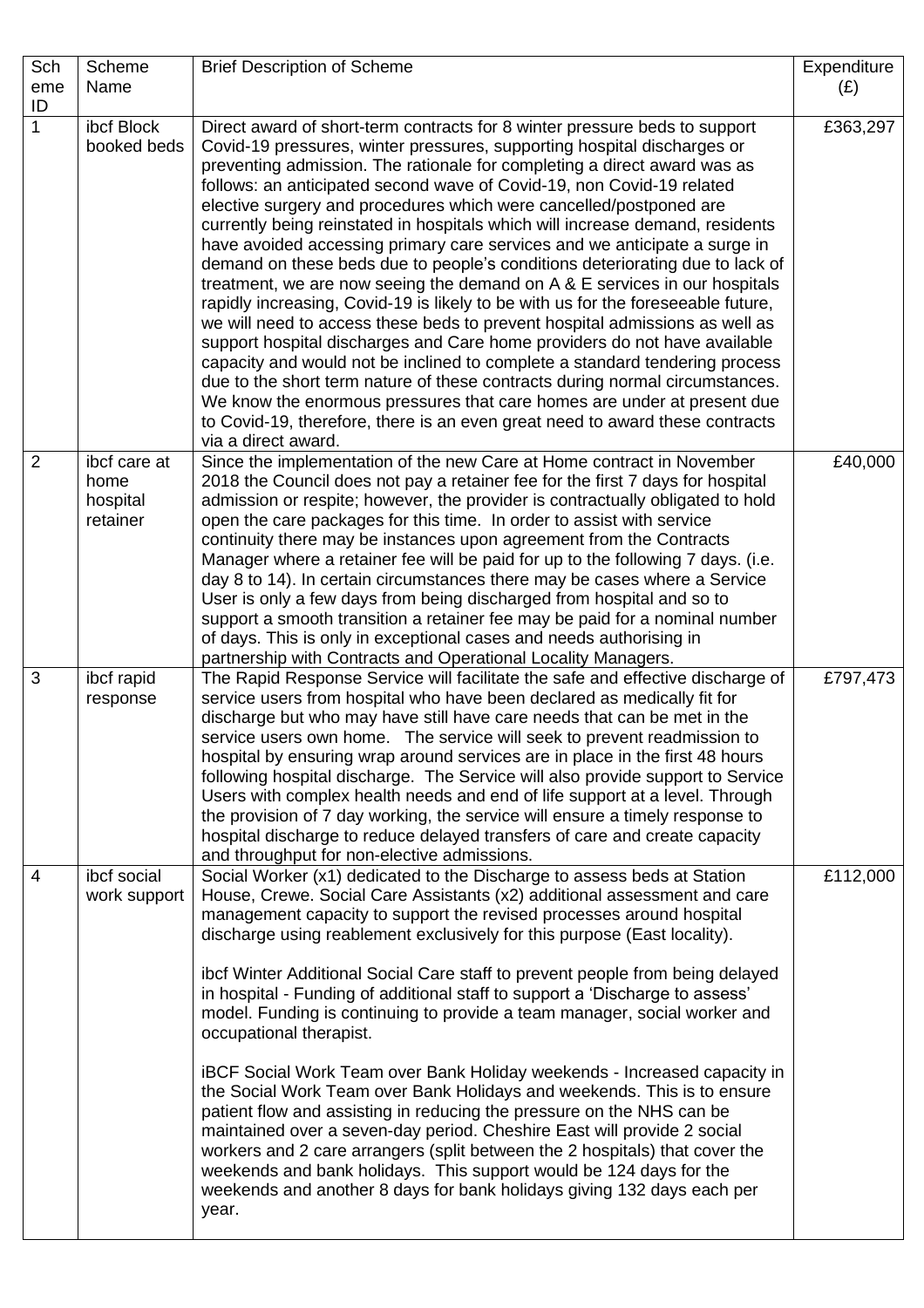| Sch            | Scheme       | <b>Brief Description of Scheme</b>                                                                                                                         | Expenditure |
|----------------|--------------|------------------------------------------------------------------------------------------------------------------------------------------------------------|-------------|
| eme<br>ID      | Name         |                                                                                                                                                            | (E)         |
| 1              | ibcf Block   | Direct award of short-term contracts for 8 winter pressure beds to support                                                                                 | £363,297    |
|                | booked beds  | Covid-19 pressures, winter pressures, supporting hospital discharges or                                                                                    |             |
|                |              | preventing admission. The rationale for completing a direct award was as                                                                                   |             |
|                |              | follows: an anticipated second wave of Covid-19, non Covid-19 related                                                                                      |             |
|                |              | elective surgery and procedures which were cancelled/postponed are                                                                                         |             |
|                |              | currently being reinstated in hospitals which will increase demand, residents                                                                              |             |
|                |              | have avoided accessing primary care services and we anticipate a surge in                                                                                  |             |
|                |              | demand on these beds due to people's conditions deteriorating due to lack of<br>treatment, we are now seeing the demand on A & E services in our hospitals |             |
|                |              | rapidly increasing, Covid-19 is likely to be with us for the foreseeable future,                                                                           |             |
|                |              | we will need to access these beds to prevent hospital admissions as well as                                                                                |             |
|                |              | support hospital discharges and Care home providers do not have available                                                                                  |             |
|                |              | capacity and would not be inclined to complete a standard tendering process                                                                                |             |
|                |              | due to the short term nature of these contracts during normal circumstances.                                                                               |             |
|                |              | We know the enormous pressures that care homes are under at present due                                                                                    |             |
|                |              | to Covid-19, therefore, there is an even great need to award these contracts<br>via a direct award.                                                        |             |
| $\overline{2}$ | ibcf care at | Since the implementation of the new Care at Home contract in November                                                                                      | £40,000     |
|                | home         | 2018 the Council does not pay a retainer fee for the first 7 days for hospital                                                                             |             |
|                | hospital     | admission or respite; however, the provider is contractually obligated to hold                                                                             |             |
|                | retainer     | open the care packages for this time. In order to assist with service                                                                                      |             |
|                |              | continuity there may be instances upon agreement from the Contracts                                                                                        |             |
|                |              | Manager where a retainer fee will be paid for up to the following 7 days. (i.e.                                                                            |             |
|                |              | day 8 to 14). In certain circumstances there may be cases where a Service<br>User is only a few days from being discharged from hospital and so to         |             |
|                |              | support a smooth transition a retainer fee may be paid for a nominal number                                                                                |             |
|                |              | of days. This is only in exceptional cases and needs authorising in                                                                                        |             |
|                |              | partnership with Contracts and Operational Locality Managers.                                                                                              |             |
| 3              | ibcf rapid   | The Rapid Response Service will facilitate the safe and effective discharge of                                                                             | £797,473    |
|                | response     | service users from hospital who have been declared as medically fit for                                                                                    |             |
|                |              | discharge but who may have still have care needs that can be met in the                                                                                    |             |
|                |              | service users own home. The service will seek to prevent readmission to<br>hospital by ensuring wrap around services are in place in the first 48 hours    |             |
|                |              | following hospital discharge. The Service will also provide support to Service                                                                             |             |
|                |              | Users with complex health needs and end of life support at a level. Through                                                                                |             |
|                |              | the provision of 7 day working, the service will ensure a timely response to                                                                               |             |
|                |              | hospital discharge to reduce delayed transfers of care and create capacity                                                                                 |             |
|                |              | and throughput for non-elective admissions.                                                                                                                |             |
| $\overline{4}$ | ibcf social  | Social Worker (x1) dedicated to the Discharge to assess beds at Station                                                                                    | £112,000    |
|                | work support | House, Crewe. Social Care Assistants (x2) additional assessment and care<br>management capacity to support the revised processes around hospital           |             |
|                |              | discharge using reablement exclusively for this purpose (East locality).                                                                                   |             |
|                |              |                                                                                                                                                            |             |
|                |              | ibcf Winter Additional Social Care staff to prevent people from being delayed                                                                              |             |
|                |              | in hospital - Funding of additional staff to support a 'Discharge to assess'                                                                               |             |
|                |              | model. Funding is continuing to provide a team manager, social worker and                                                                                  |             |
|                |              | occupational therapist.                                                                                                                                    |             |
|                |              | iBCF Social Work Team over Bank Holiday weekends - Increased capacity in                                                                                   |             |
|                |              | the Social Work Team over Bank Holidays and weekends. This is to ensure                                                                                    |             |
|                |              | patient flow and assisting in reducing the pressure on the NHS can be                                                                                      |             |
|                |              | maintained over a seven-day period. Cheshire East will provide 2 social                                                                                    |             |
|                |              | workers and 2 care arrangers (split between the 2 hospitals) that cover the                                                                                |             |
|                |              | weekends and bank holidays. This support would be 124 days for the<br>weekends and another 8 days for bank holidays giving 132 days each per               |             |
|                |              | year.                                                                                                                                                      |             |
|                |              |                                                                                                                                                            |             |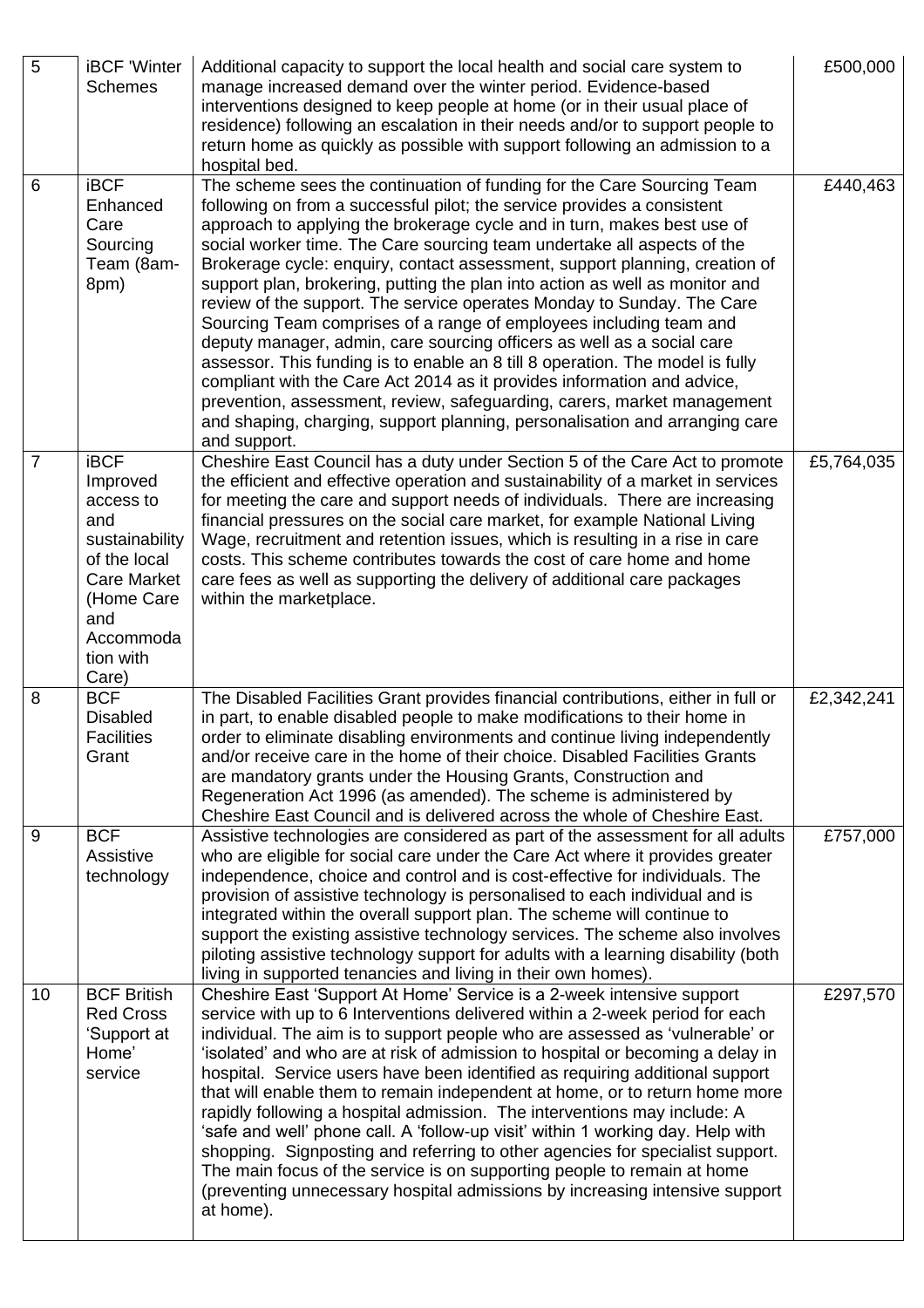| 5              | <b>iBCF 'Winter</b><br><b>Schemes</b>                                                                                                                       | Additional capacity to support the local health and social care system to<br>manage increased demand over the winter period. Evidence-based<br>interventions designed to keep people at home (or in their usual place of<br>residence) following an escalation in their needs and/or to support people to<br>return home as quickly as possible with support following an admission to a<br>hospital bed.                                                                                                                                                                                                                                                                                                                                                                                                                                                                                                                                                                                                                              | £500,000   |
|----------------|-------------------------------------------------------------------------------------------------------------------------------------------------------------|----------------------------------------------------------------------------------------------------------------------------------------------------------------------------------------------------------------------------------------------------------------------------------------------------------------------------------------------------------------------------------------------------------------------------------------------------------------------------------------------------------------------------------------------------------------------------------------------------------------------------------------------------------------------------------------------------------------------------------------------------------------------------------------------------------------------------------------------------------------------------------------------------------------------------------------------------------------------------------------------------------------------------------------|------------|
| 6              | <b>iBCF</b><br>Enhanced<br>Care<br>Sourcing<br>Team (8am-<br>8pm)                                                                                           | The scheme sees the continuation of funding for the Care Sourcing Team<br>following on from a successful pilot; the service provides a consistent<br>approach to applying the brokerage cycle and in turn, makes best use of<br>social worker time. The Care sourcing team undertake all aspects of the<br>Brokerage cycle: enquiry, contact assessment, support planning, creation of<br>support plan, brokering, putting the plan into action as well as monitor and<br>review of the support. The service operates Monday to Sunday. The Care<br>Sourcing Team comprises of a range of employees including team and<br>deputy manager, admin, care sourcing officers as well as a social care<br>assessor. This funding is to enable an 8 till 8 operation. The model is fully<br>compliant with the Care Act 2014 as it provides information and advice,<br>prevention, assessment, review, safeguarding, carers, market management<br>and shaping, charging, support planning, personalisation and arranging care<br>and support. | £440,463   |
| $\overline{7}$ | <b>iBCF</b><br>Improved<br>access to<br>and<br>sustainability<br>of the local<br><b>Care Market</b><br>(Home Care<br>and<br>Accommoda<br>tion with<br>Care) | Cheshire East Council has a duty under Section 5 of the Care Act to promote<br>the efficient and effective operation and sustainability of a market in services<br>for meeting the care and support needs of individuals. There are increasing<br>financial pressures on the social care market, for example National Living<br>Wage, recruitment and retention issues, which is resulting in a rise in care<br>costs. This scheme contributes towards the cost of care home and home<br>care fees as well as supporting the delivery of additional care packages<br>within the marketplace.                                                                                                                                                                                                                                                                                                                                                                                                                                           | £5,764,035 |
| 8              | <b>BCF</b><br><b>Disabled</b><br><b>Facilities</b><br>Grant                                                                                                 | The Disabled Facilities Grant provides financial contributions, either in full or<br>in part, to enable disabled people to make modifications to their home in<br>order to eliminate disabling environments and continue living independently<br>and/or receive care in the home of their choice. Disabled Facilities Grants<br>are mandatory grants under the Housing Grants, Construction and<br>Regeneration Act 1996 (as amended). The scheme is administered by<br>Cheshire East Council and is delivered across the whole of Cheshire East.                                                                                                                                                                                                                                                                                                                                                                                                                                                                                      | £2,342,241 |
| 9              | <b>BCF</b><br>Assistive<br>technology                                                                                                                       | Assistive technologies are considered as part of the assessment for all adults<br>who are eligible for social care under the Care Act where it provides greater<br>independence, choice and control and is cost-effective for individuals. The<br>provision of assistive technology is personalised to each individual and is<br>integrated within the overall support plan. The scheme will continue to<br>support the existing assistive technology services. The scheme also involves<br>piloting assistive technology support for adults with a learning disability (both<br>living in supported tenancies and living in their own homes).                                                                                                                                                                                                                                                                                                                                                                                         | £757,000   |
| 10             | <b>BCF British</b><br><b>Red Cross</b><br>'Support at<br>Home'<br>service                                                                                   | Cheshire East 'Support At Home' Service is a 2-week intensive support<br>service with up to 6 Interventions delivered within a 2-week period for each<br>individual. The aim is to support people who are assessed as 'vulnerable' or<br>'isolated' and who are at risk of admission to hospital or becoming a delay in<br>hospital. Service users have been identified as requiring additional support<br>that will enable them to remain independent at home, or to return home more<br>rapidly following a hospital admission. The interventions may include: A<br>'safe and well' phone call. A 'follow-up visit' within 1 working day. Help with<br>shopping. Signposting and referring to other agencies for specialist support.<br>The main focus of the service is on supporting people to remain at home<br>(preventing unnecessary hospital admissions by increasing intensive support<br>at home).                                                                                                                          | £297,570   |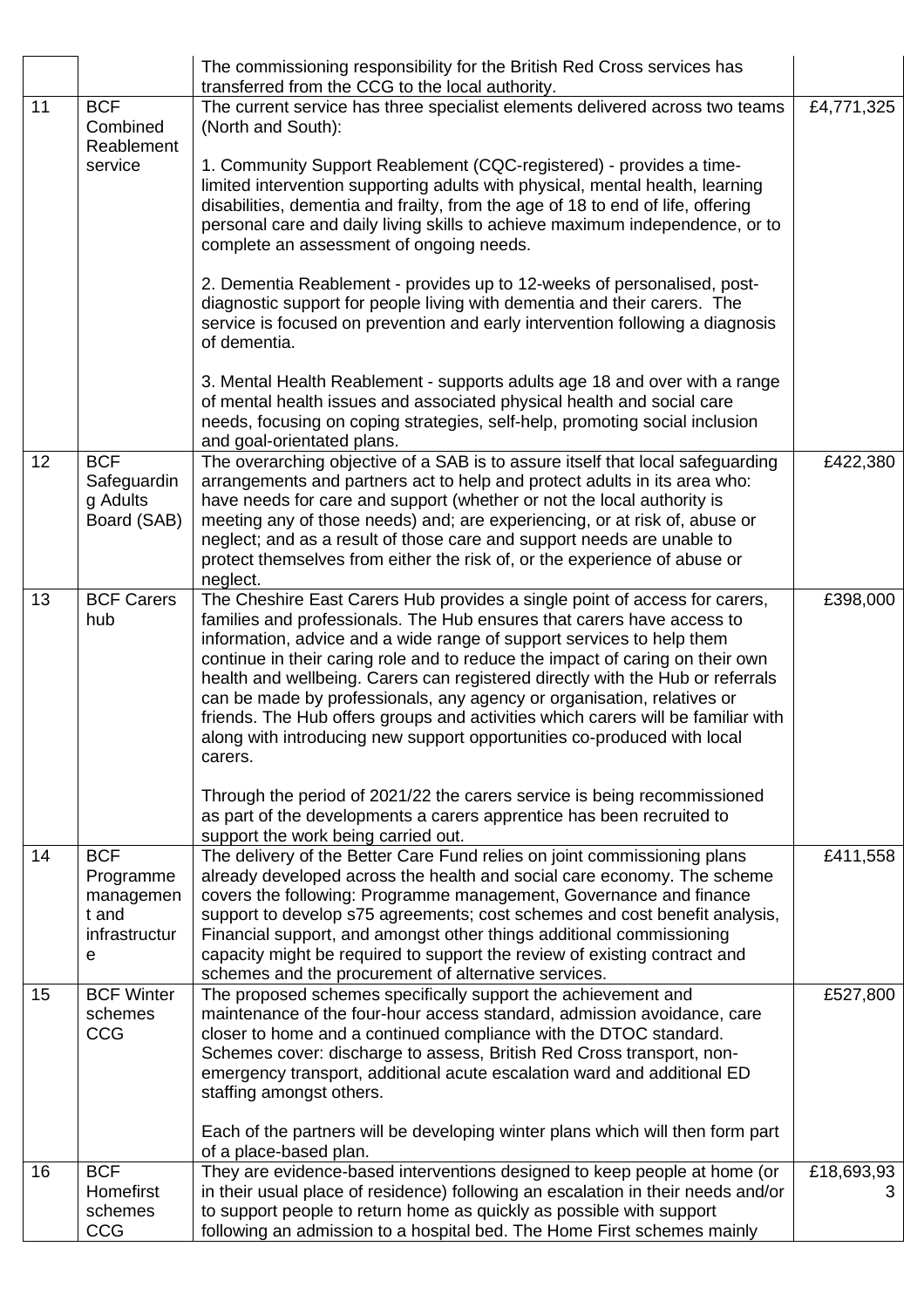|    |                                                                     | The commissioning responsibility for the British Red Cross services has<br>transferred from the CCG to the local authority.                                                                                                                                                                                                                                                                                                                                                                                                                                                                                                                          |                 |
|----|---------------------------------------------------------------------|------------------------------------------------------------------------------------------------------------------------------------------------------------------------------------------------------------------------------------------------------------------------------------------------------------------------------------------------------------------------------------------------------------------------------------------------------------------------------------------------------------------------------------------------------------------------------------------------------------------------------------------------------|-----------------|
| 11 | <b>BCF</b><br>Combined<br>Reablement                                | The current service has three specialist elements delivered across two teams<br>(North and South):                                                                                                                                                                                                                                                                                                                                                                                                                                                                                                                                                   | £4,771,325      |
|    | service                                                             | 1. Community Support Reablement (CQC-registered) - provides a time-<br>limited intervention supporting adults with physical, mental health, learning<br>disabilities, dementia and frailty, from the age of 18 to end of life, offering<br>personal care and daily living skills to achieve maximum independence, or to<br>complete an assessment of ongoing needs.                                                                                                                                                                                                                                                                                  |                 |
|    |                                                                     | 2. Dementia Reablement - provides up to 12-weeks of personalised, post-<br>diagnostic support for people living with dementia and their carers. The<br>service is focused on prevention and early intervention following a diagnosis<br>of dementia.                                                                                                                                                                                                                                                                                                                                                                                                 |                 |
|    |                                                                     | 3. Mental Health Reablement - supports adults age 18 and over with a range<br>of mental health issues and associated physical health and social care<br>needs, focusing on coping strategies, self-help, promoting social inclusion<br>and goal-orientated plans.                                                                                                                                                                                                                                                                                                                                                                                    |                 |
| 12 | <b>BCF</b><br>Safeguardin<br>g Adults<br>Board (SAB)                | The overarching objective of a SAB is to assure itself that local safeguarding<br>arrangements and partners act to help and protect adults in its area who:<br>have needs for care and support (whether or not the local authority is<br>meeting any of those needs) and; are experiencing, or at risk of, abuse or<br>neglect; and as a result of those care and support needs are unable to<br>protect themselves from either the risk of, or the experience of abuse or<br>neglect.                                                                                                                                                               | £422,380        |
| 13 | <b>BCF Carers</b><br>hub                                            | The Cheshire East Carers Hub provides a single point of access for carers,<br>families and professionals. The Hub ensures that carers have access to<br>information, advice and a wide range of support services to help them<br>continue in their caring role and to reduce the impact of caring on their own<br>health and wellbeing. Carers can registered directly with the Hub or referrals<br>can be made by professionals, any agency or organisation, relatives or<br>friends. The Hub offers groups and activities which carers will be familiar with<br>along with introducing new support opportunities co-produced with local<br>carers. | £398,000        |
|    |                                                                     | Through the period of 2021/22 the carers service is being recommissioned<br>as part of the developments a carers apprentice has been recruited to<br>support the work being carried out.                                                                                                                                                                                                                                                                                                                                                                                                                                                             |                 |
| 14 | <b>BCF</b><br>Programme<br>managemen<br>t and<br>infrastructur<br>е | The delivery of the Better Care Fund relies on joint commissioning plans<br>already developed across the health and social care economy. The scheme<br>covers the following: Programme management, Governance and finance<br>support to develop s75 agreements; cost schemes and cost benefit analysis,<br>Financial support, and amongst other things additional commissioning<br>capacity might be required to support the review of existing contract and<br>schemes and the procurement of alternative services.                                                                                                                                 | £411,558        |
| 15 | <b>BCF Winter</b><br>schemes<br><b>CCG</b>                          | The proposed schemes specifically support the achievement and<br>maintenance of the four-hour access standard, admission avoidance, care<br>closer to home and a continued compliance with the DTOC standard.<br>Schemes cover: discharge to assess, British Red Cross transport, non-<br>emergency transport, additional acute escalation ward and additional ED<br>staffing amongst others.<br>Each of the partners will be developing winter plans which will then form part                                                                                                                                                                      | £527,800        |
| 16 | <b>BCF</b><br>Homefirst<br>schemes<br><b>CCG</b>                    | of a place-based plan.<br>They are evidence-based interventions designed to keep people at home (or<br>in their usual place of residence) following an escalation in their needs and/or<br>to support people to return home as quickly as possible with support<br>following an admission to a hospital bed. The Home First schemes mainly                                                                                                                                                                                                                                                                                                           | £18,693,93<br>3 |